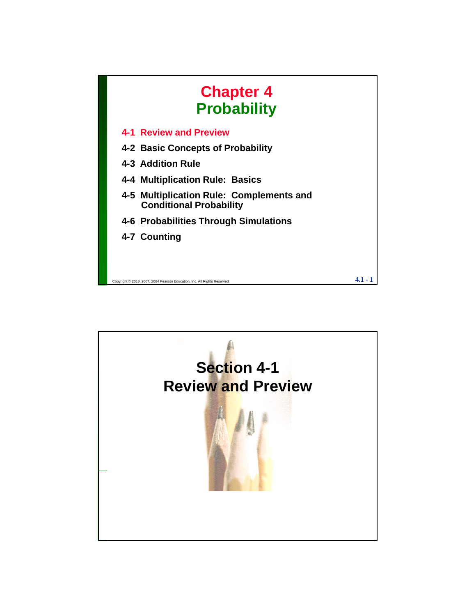

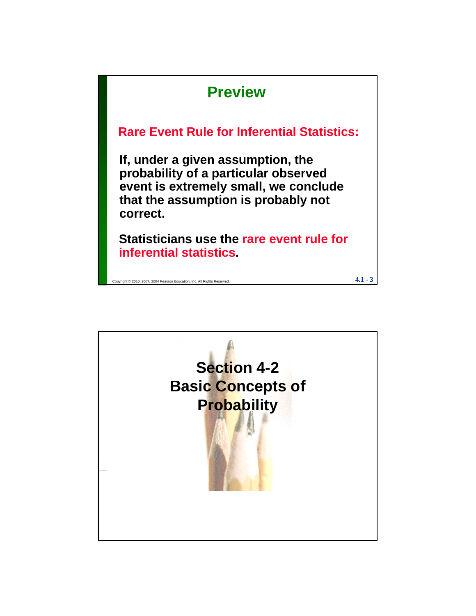

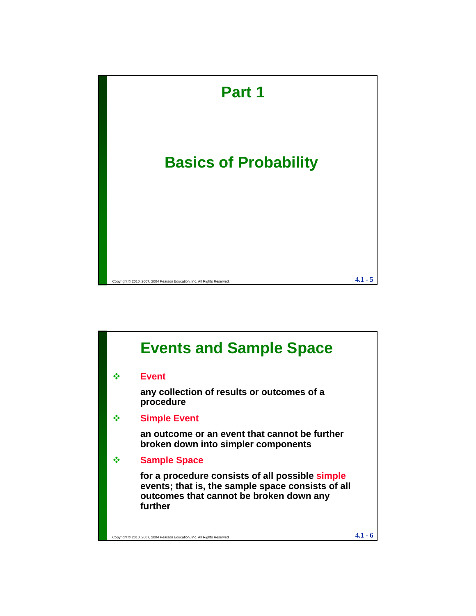

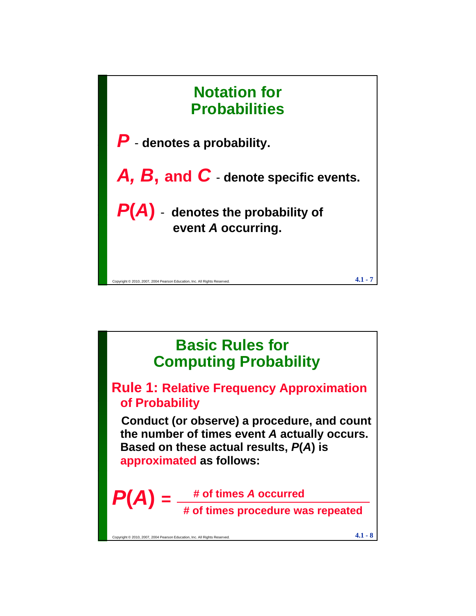

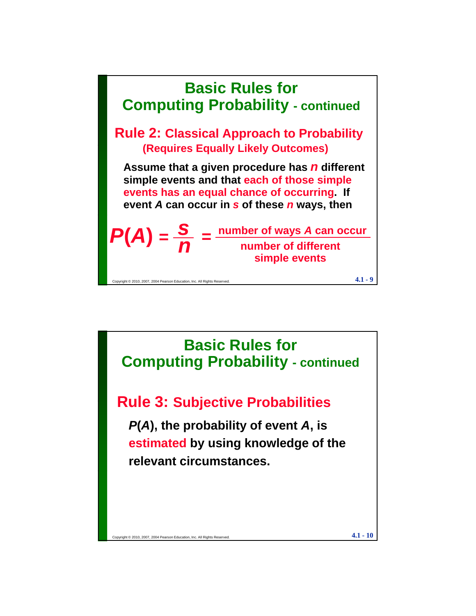

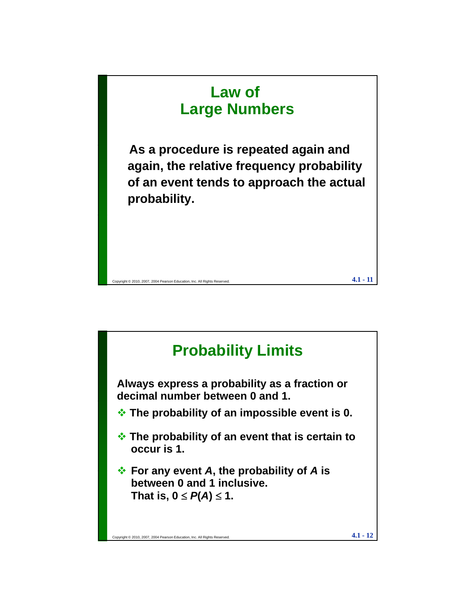

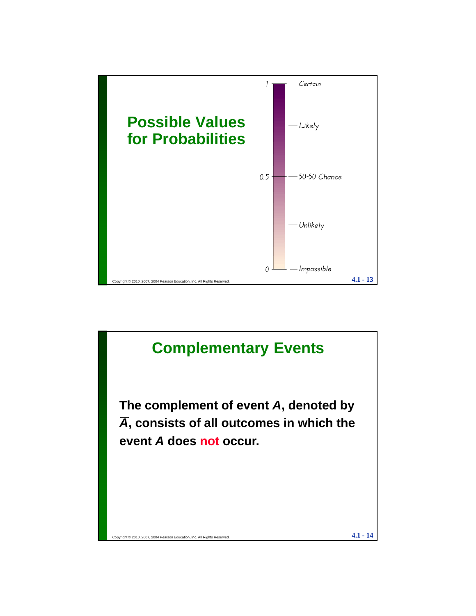

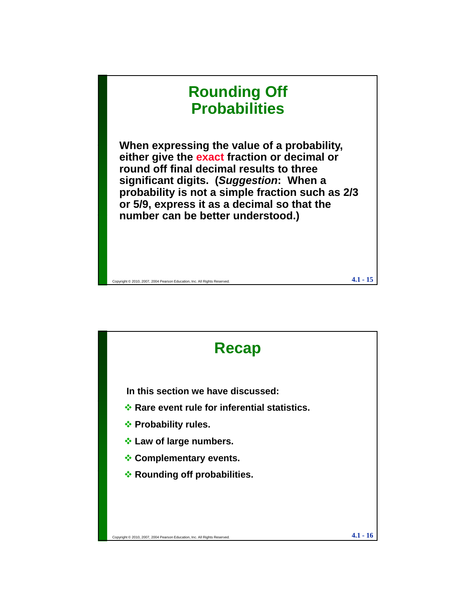## **Rounding Off Probabilities When expressing the value of a probability, either give the exact fraction or decimal or round off final decimal results to three significant digits. (***Suggestion***: When a probability is not a simple fraction such as 2/3 or 5/9, express it as a decimal so that the number can be better understood )**

Copyright © 2010, 2007, 2004 Pearson Education, Inc. All Rights Reserved.  $4.1\cdot 15$ 

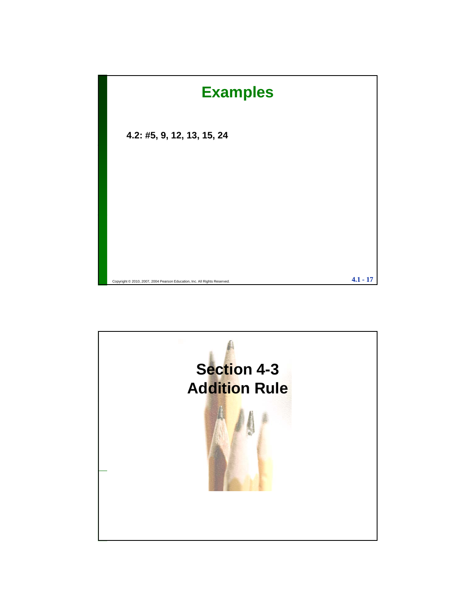

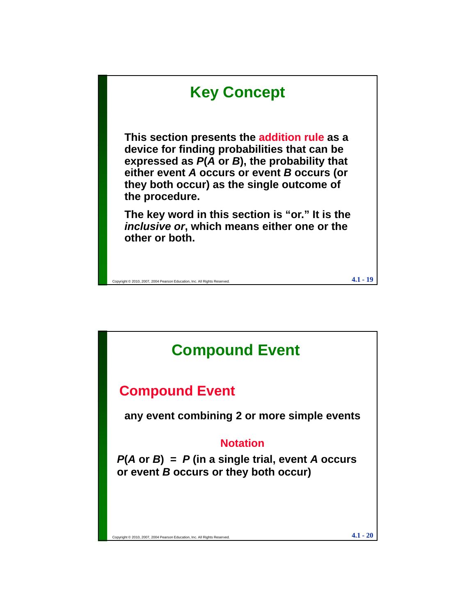

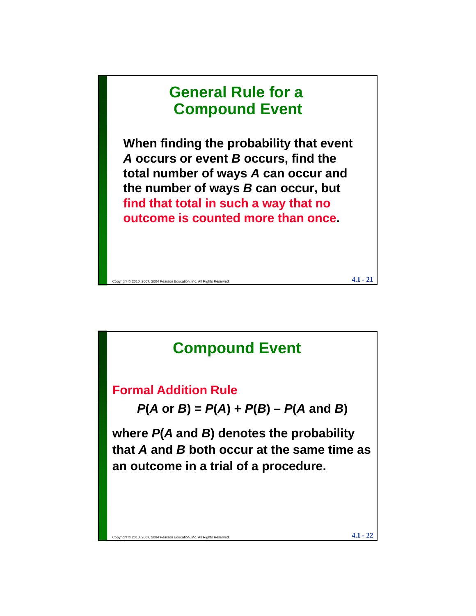# **General Rule for a Compound Event**

**When finding the probability that event When finding the probability that** *A* **occurs or event** *B* **occurs, find the total number of ways** *A* **can occur and the number of ways** *B* **can occur, but find that total in such a way that no t i t d th outcome is counted more than once.**

Copyright © 2010, 2007, 2004 Pearson Education, Inc. All Rights Reserved.  $\bf 4.1$  -  $\bf 21$ 

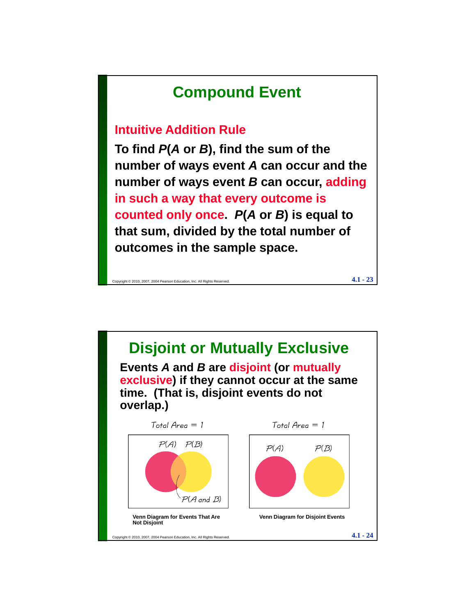# **Compound Event**

#### **Intuitive Addition Rule**

To find  $P(A \text{ or } B)$ , find the sum of the **number of ways event** *A* **can occur and the number of ways event** *B* **can occur, adding in such a way that every outcome is counted only once** *P***(***A* **or** *B***) is equal to counter containt containt sum, divided by the total number of outcomes in the sample space.**

Copyright © 2010, 2007, 2004 Pearson Education, Inc. All Rights Reserved.  $4.1 - 23$ 

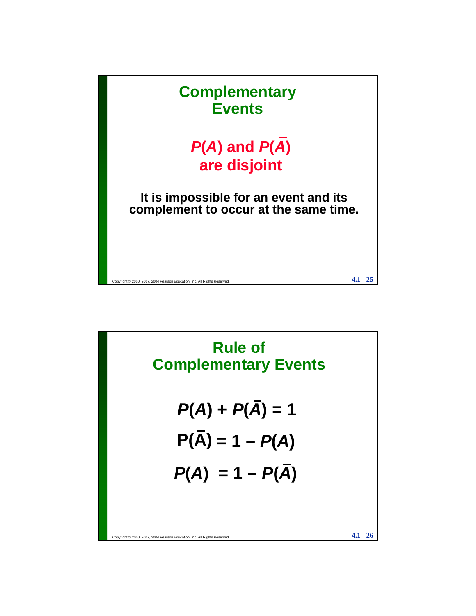

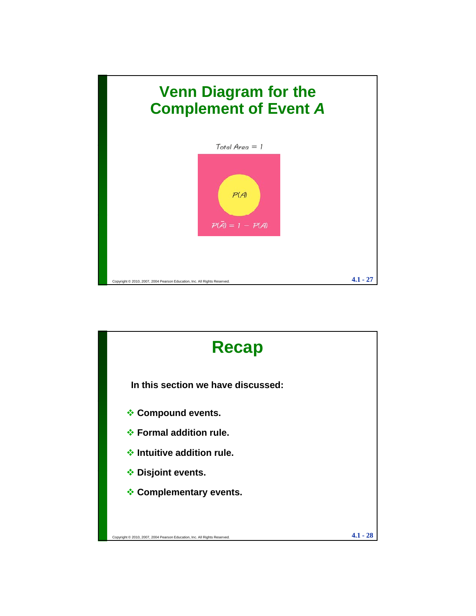

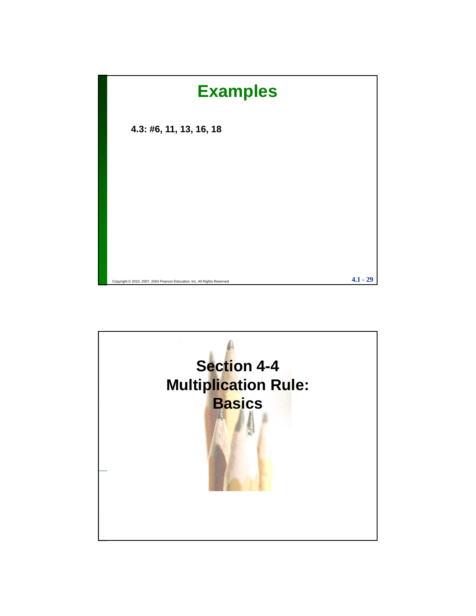

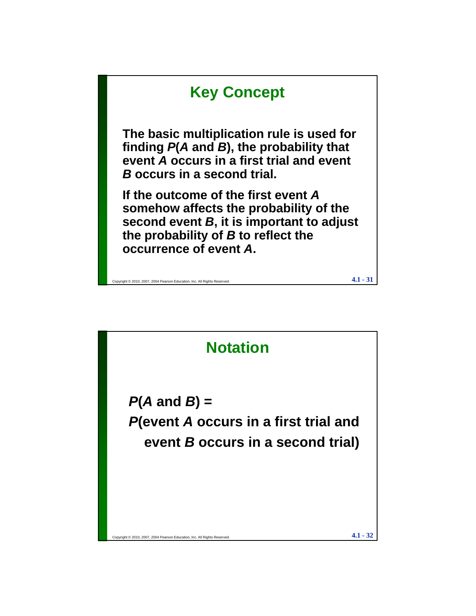

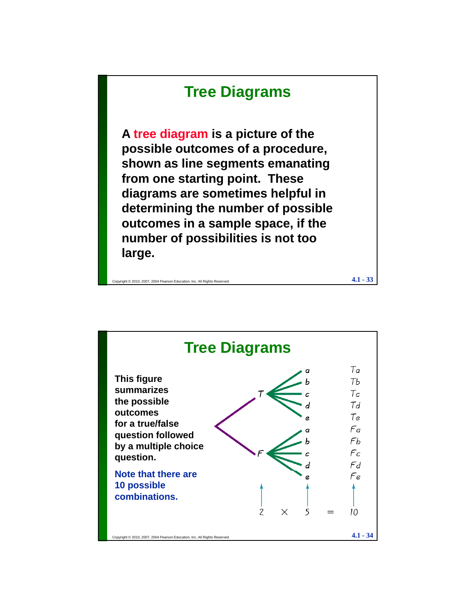## **Tree Diagrams**

**A tree diagram is a picture of the possible outcomes of a procedure, shown as line segments emanating from one starting point. These diagrams are sometimes helpful in**  determining the number of possible **outcomes in a sample space, if the number of possibilities is not too large.**

Copyright © 2010, 2007, 2004 Pearson Education, Inc. All Rights Reserved. **4.1** - 33

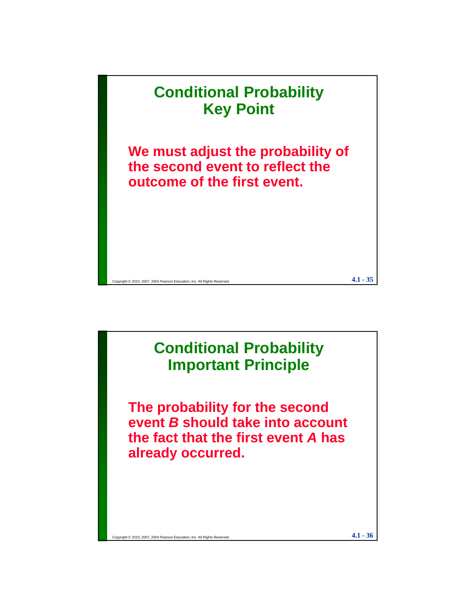

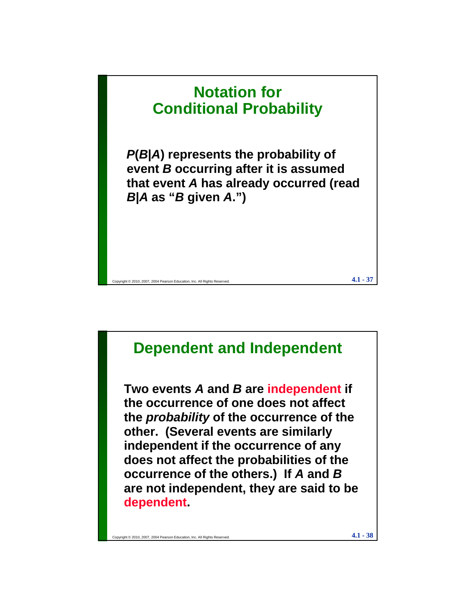

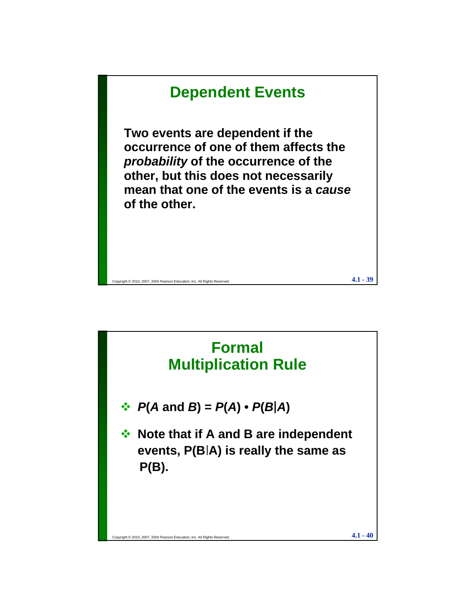

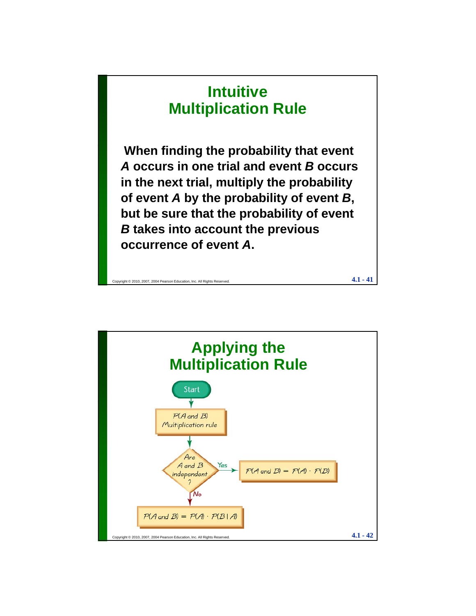# **Intuitive Multiplication Rule**

**When finding the probability that event**  *A* **occurs in one trial and event** *B* **occurs in the next trial, multiply the probability of event** *A* **by the probability of event** *B***, but be sure that the probability of event but be sure that the probability of event***B* **takes into account the previous occurrence of event** *A***.**

Copyright © 2010, 2007, 2004 Pearson Education, Inc. All Rights Reserved.  $4.1 - 41$ 

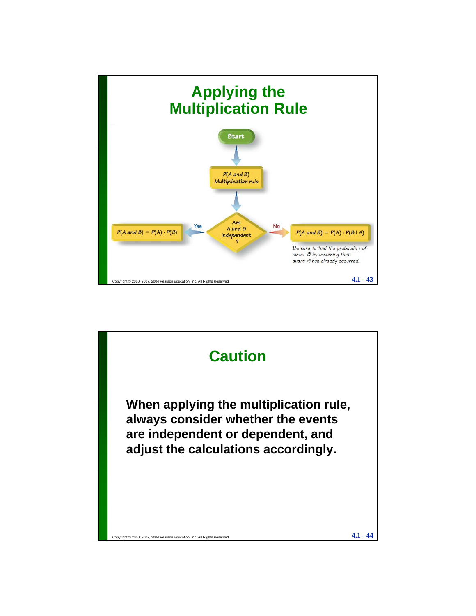

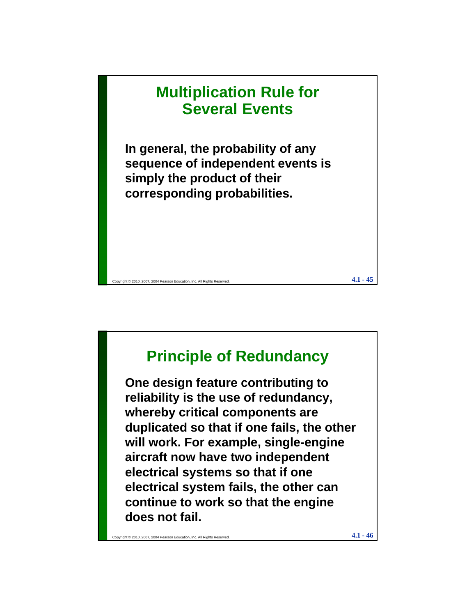